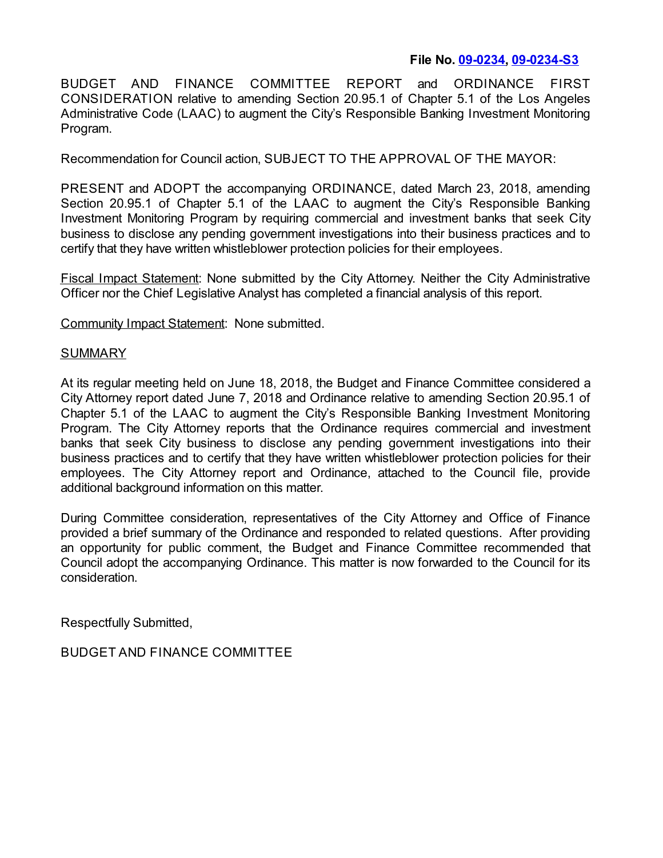## **File No. [09-0234](https://cityclerk.lacity.org/lacityclerkconnect/index.cfm?fa=ccfi.viewrecord&cfnumber=09-0234), [09-0234-S3](https://cityclerk.lacity.org/lacityclerkconnect/index.cfm?fa=ccfi.viewrecord&cfnumber=09-0234-S3)**

BUDGET AND FINANCE COMMITTEE REPORT and ORDINANCE FIRST CONSIDERATION relative to amending Section 20.95.1 of Chapter 5.1 of the Los Angeles Administrative Code (LAAC) to augment the City's Responsible Banking Investment Monitoring Program.

Recommendation for Council action, SUBJECT TO THE APPROVAL OF THE MAYOR:

PRESENT and ADOPT the accompanying ORDINANCE, dated March 23, 2018, amending Section 20.95.1 of Chapter 5.1 of the LAAC to augment the City's Responsible Banking Investment Monitoring Program by requiring commercial and investment banks that seek City business to disclose any pending government investigations into their business practices and to certify that they have written whistleblower protection policies for their employees.

Fiscal Impact Statement: None submitted by the City Attorney. Neither the City Administrative Officer nor the Chief Legislative Analyst has completed a financial analysis of this report.

Community Impact Statement: None submitted.

## SUMMARY

At its regular meeting held on June 18, 2018, the Budget and Finance Committee considered a City Attorney report dated June 7, 2018 and Ordinance relative to amending Section 20.95.1 of Chapter 5.1 of the LAAC to augment the City's Responsible Banking Investment Monitoring Program. The City Attorney reports that the Ordinance requires commercial and investment banks that seek City business to disclose any pending government investigations into their business practices and to certify that they have written whistleblower protection policies for their employees. The City Attorney report and Ordinance, attached to the Council file, provide additional background information on this matter.

During Committee consideration, representatives of the City Attorney and Office of Finance provided a brief summary of the Ordinance and responded to related questions. After providing an opportunity for public comment, the Budget and Finance Committee recommended that Council adopt the accompanying Ordinance. This matter is now forwarded to the Council for its consideration.

Respectfully Submitted,

BUDGET AND FINANCE COMMITTEE